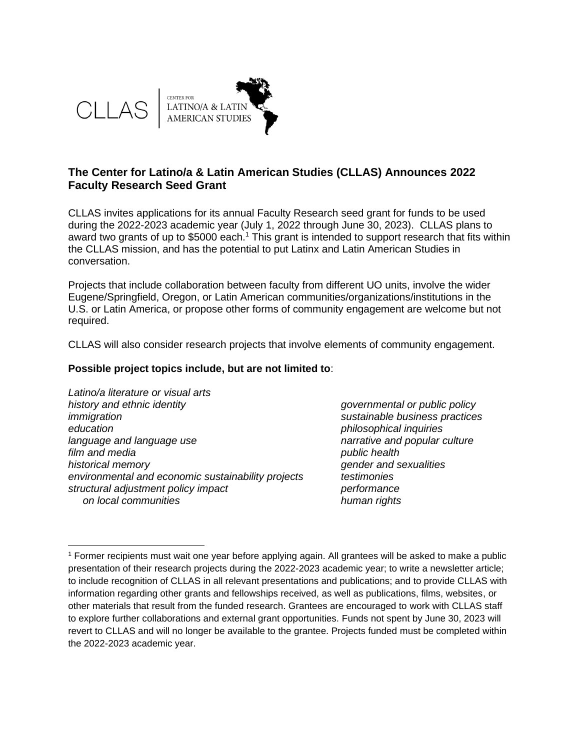

## **The Center for Latino/a & Latin American Studies (CLLAS) Announces 2022 Faculty Research Seed Grant**

CLLAS invites applications for its annual Faculty Research seed grant for funds to be used during the 2022-2023 academic year (July 1, 2022 through June 30, 2023). CLLAS plans to award two grants of up to \$5000 each.<sup>1</sup> This grant is intended to support research that fits within the CLLAS mission, and has the potential to put Latinx and Latin American Studies in conversation.

Projects that include collaboration between faculty from different UO units, involve the wider Eugene/Springfield, Oregon, or Latin American communities/organizations/institutions in the U.S. or Latin America, or propose other forms of community engagement are welcome but not required.

CLLAS will also consider research projects that involve elements of community engagement.

#### **Possible project topics include, but are not limited to**:

*Latino/a literature or visual arts history and ethnic identity governmental or public policy immigration sustainable business practices education philosophical inquiries language and language use narrative and popular culture film and media public health historical memory gender and sexualities environmental and economic sustainability projects testimonies structural adjustment policy impact performance on local communities human rights*

<sup>1</sup> Former recipients must wait one year before applying again. All grantees will be asked to make a public presentation of their research projects during the 2022-2023 academic year; to write a newsletter article; to include recognition of CLLAS in all relevant presentations and publications; and to provide CLLAS with information regarding other grants and fellowships received, as well as publications, films, websites, or other materials that result from the funded research. Grantees are encouraged to work with CLLAS staff to explore further collaborations and external grant opportunities. Funds not spent by June 30, 2023 will revert to CLLAS and will no longer be available to the grantee. Projects funded must be completed within the 2022-2023 academic year.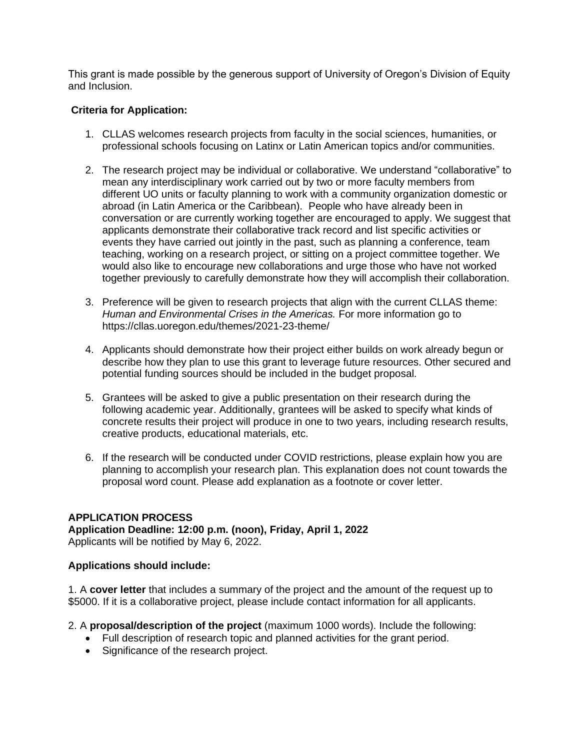This grant is made possible by the generous support of University of Oregon's Division of Equity and Inclusion.

### **Criteria for Application:**

- 1. CLLAS welcomes research projects from faculty in the social sciences, humanities, or professional schools focusing on Latinx or Latin American topics and/or communities.
- 2. The research project may be individual or collaborative. We understand "collaborative" to mean any interdisciplinary work carried out by two or more faculty members from different UO units or faculty planning to work with a community organization domestic or abroad (in Latin America or the Caribbean). People who have already been in conversation or are currently working together are encouraged to apply. We suggest that applicants demonstrate their collaborative track record and list specific activities or events they have carried out jointly in the past, such as planning a conference, team teaching, working on a research project, or sitting on a project committee together. We would also like to encourage new collaborations and urge those who have not worked together previously to carefully demonstrate how they will accomplish their collaboration.
- 3. Preference will be given to research projects that align with the current CLLAS theme: *Human and Environmental Crises in the Americas.* For more information go to https://cllas.uoregon.edu/themes/2021-23-theme/
- 4. Applicants should demonstrate how their project either builds on work already begun or describe how they plan to use this grant to leverage future resources. Other secured and potential funding sources should be included in the budget proposal.
- 5. Grantees will be asked to give a public presentation on their research during the following academic year. Additionally, grantees will be asked to specify what kinds of concrete results their project will produce in one to two years, including research results, creative products, educational materials, etc.
- 6. If the research will be conducted under COVID restrictions, please explain how you are planning to accomplish your research plan. This explanation does not count towards the proposal word count. Please add explanation as a footnote or cover letter.

# **APPLICATION PROCESS**

**Application Deadline: 12:00 p.m. (noon), Friday, April 1, 2022** Applicants will be notified by May 6, 2022.

#### **Applications should include:**

1. A **cover letter** that includes a summary of the project and the amount of the request up to \$5000. If it is a collaborative project, please include contact information for all applicants.

2. A **proposal/description of the project** (maximum 1000 words). Include the following:

- Full description of research topic and planned activities for the grant period.
- Significance of the research project.